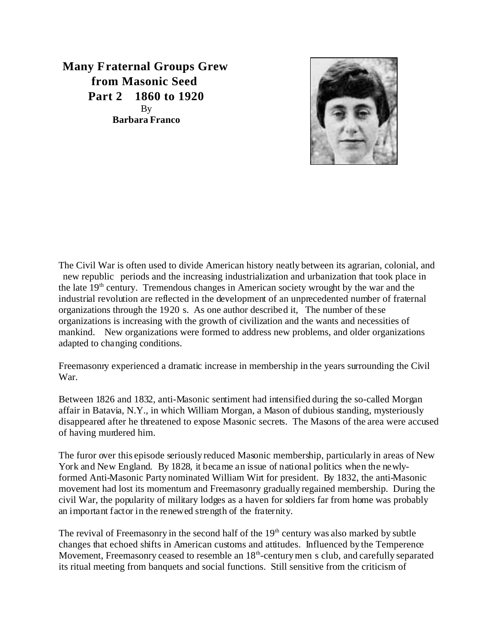**Many Fraternal Groups Grew from Masonic Seed Part 2 1860 to 1920** By **Barbara Franco**



The Civil War is often used to divide American history neatly between its agrarian, colonial, and new republic periods and the increasing industrialization and urbanization that took place in the late  $19<sup>th</sup>$  century. Tremendous changes in American society wrought by the war and the industrial revolution are reflected in the development of an unprecedented number of fraternal organizations through the 1920 s. As one author described it, The number of these organizations is increasing with the growth of civilization and the wants and necessities of mankind. New organizations were formed to address new problems, and older organizations adapted to changing conditions.

Freemasonry experienced a dramatic increase in membership in the years surrounding the Civil War.

Between 1826 and 1832, anti-Masonic sentiment had intensified during the so-called Morgan affair in Batavia, N.Y., in which William Morgan, a Mason of dubious standing, mysteriously disappeared after he threatened to expose Masonic secrets. The Masons of the area were accused of having murdered him.

The furor over this episode seriously reduced Masonic membership, particularly in areas of New York and New England. By 1828, it became an issue of national politics when the newlyformed Anti-Masonic Party nominated William Wirt for president. By 1832, the anti-Masonic movement had lost its momentum and Freemasonry gradually regained membership. During the civil War, the popularity of military lodges as a haven for soldiers far from home was probably an important factor in the renewed strength of the fraternity.

The revival of Freemasonry in the second half of the 19<sup>th</sup> century was also marked by subtle changes that echoed shifts in American customs and attitudes. Influenced by the Temperence Movement, Freemasonry ceased to resemble an  $18<sup>th</sup>$ -century men s club, and carefully separated its ritual meeting from banquets and social functions. Still sensitive from the criticism of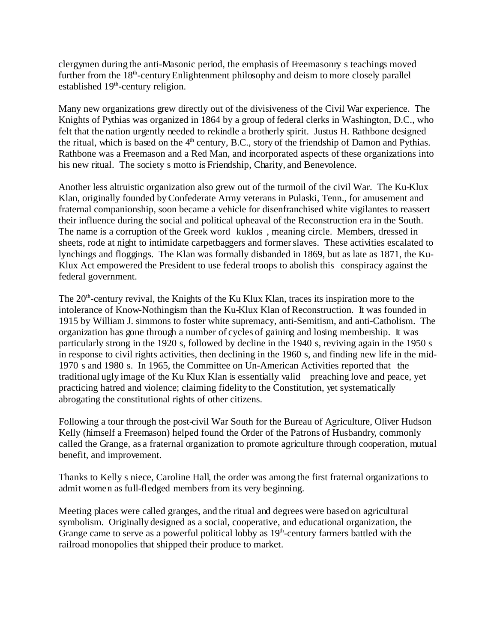clergymen during the anti-Masonic period, the emphasis of Freemasonry s teachings moved further from the  $18<sup>th</sup>$ -century Enlightenment philosophy and deism to more closely parallel established 19<sup>th</sup>-century religion.

Many new organizations grew directly out of the divisiveness of the Civil War experience. The Knights of Pythias was organized in 1864 by a group of federal clerks in Washington, D.C., who felt that the nation urgently needed to rekindle a brotherly spirit. Justus H. Rathbone designed the ritual, which is based on the  $4<sup>th</sup>$  century, B.C., story of the friendship of Damon and Pythias. Rathbone was a Freemason and a Red Man, and incorporated aspects of these organizations into his new ritual. The society s motto is Friendship, Charity, and Benevolence.

Another less altruistic organization also grew out of the turmoil of the civil War. The Ku-Klux Klan, originally founded by Confederate Army veterans in Pulaski, Tenn., for amusement and fraternal companionship, soon became a vehicle for disenfranchised white vigilantes to reassert their influence during the social and political upheaval of the Reconstruction era in the South. The name is a corruption of the Greek word kuklos, meaning circle. Members, dressed in sheets, rode at night to intimidate carpetbaggers and former slaves. These activities escalated to lynchings and floggings. The Klan was formally disbanded in 1869, but as late as 1871, the Ku-Klux Act empowered the President to use federal troops to abolish this conspiracy against the federal government.

The  $20<sup>th</sup>$ -century revival, the Knights of the Ku Klux Klan, traces its inspiration more to the intolerance of Know-Nothingism than the Ku-Klux Klan of Reconstruction. It was founded in 1915 by William J. simmons to foster white supremacy, anti-Semitism, and anti-Catholism. The organization has gone through a number of cycles of gaining and losing membership. It was particularly strong in the 1920 s, followed by decline in the 1940 s, reviving again in the 1950 s in response to civil rights activities, then declining in the 1960 s, and finding new life in the mid-1970 s and 1980 s. In 1965, the Committee on Un-American Activities reported that the traditional ugly image of the Ku Klux Klan is essentially valid preaching love and peace, yet practicing hatred and violence; claiming fidelity to the Constitution, yet systematically abrogating the constitutional rights of other citizens.

Following a tour through the post-civil War South for the Bureau of Agriculture, Oliver Hudson Kelly (himself a Freemason) helped found the Order of the Patrons of Husbandry, commonly called the Grange, as a fraternal organization to promote agriculture through cooperation, mutual benefit, and improvement.

Thanks to Kelly s niece, Caroline Hall, the order was among the first fraternal organizations to admit women as full-fledged members from its very beginning.

Meeting places were called granges, and the ritual and degrees were based on agricultural symbolism. Originally designed as a social, cooperative, and educational organization, the Grange came to serve as a powerful political lobby as  $19<sup>th</sup>$ -century farmers battled with the railroad monopolies that shipped their produce to market.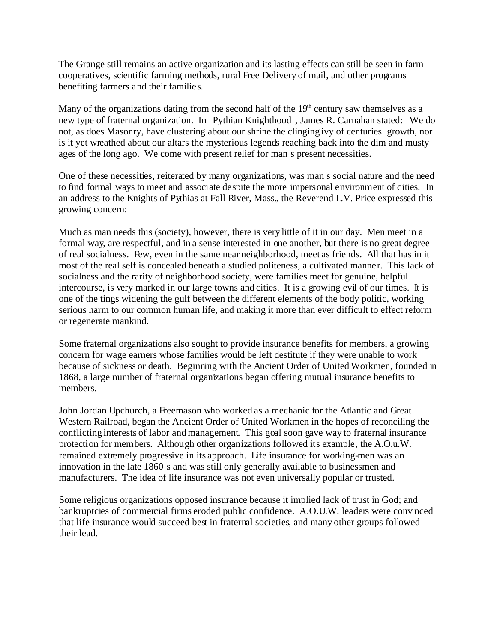The Grange still remains an active organization and its lasting effects can still be seen in farm cooperatives, scientific farming methods, rural Free Delivery of mail, and other programs benefiting farmers and their families.

Many of the organizations dating from the second half of the  $19<sup>th</sup>$  century saw themselves as a new type of fraternal organization. In Pythian Knighthood , James R. Carnahan stated: We do not, as does Masonry, have clustering about our shrine the clinging ivy of centuries growth, nor is it yet wreathed about our altars the mysterious legends reaching back into the dim and musty ages of the long ago. We come with present relief for man s present necessities.

One of these necessities, reiterated by many organizations, was man s social nature and the need to find formal ways to meet and associate despite the more impersonal environment of cities. In an address to the Knights of Pythias at Fall River, Mass., the Reverend L.V. Price expressed this growing concern:

Much as man needs this (society), however, there is very little of it in our day. Men meet in a formal way, are respectful, and in a sense interested in one another, but there is no great degree of real socialness. Few, even in the same near neighborhood, meet as friends. All that has in it most of the real self is concealed beneath a studied politeness, a cultivated manner. This lack of socialness and the rarity of neighborhood society, were families meet for genuine, helpful intercourse, is very marked in our large towns and cities. It is a growing evil of our times. It is one of the tings widening the gulf between the different elements of the body politic, working serious harm to our common human life, and making it more than ever difficult to effect reform or regenerate mankind.

Some fraternal organizations also sought to provide insurance benefits for members, a growing concern for wage earners whose families would be left destitute if they were unable to work because of sickness or death. Beginning with the Ancient Order of United Workmen, founded in 1868, a large number of fraternal organizations began offering mutual insurance benefits to members.

John Jordan Upchurch, a Freemason who worked as a mechanic for the Atlantic and Great Western Railroad, began the Ancient Order of United Workmen in the hopes of reconciling the conflicting interests of labor and management. This goal soon gave way to fraternal insurance protection for members. Although other organizations followed its example, the A.O.u.W. remained extremely progressive in its approach. Life insurance for working-men was an innovation in the late 1860 s and was still only generally available to businessmen and manufacturers. The idea of life insurance was not even universally popular or trusted.

Some religious organizations opposed insurance because it implied lack of trust in God; and bankruptcies of commercial firms eroded public confidence. A.O.U.W. leaders were convinced that life insurance would succeed best in fraternal societies, and many other groups followed their lead.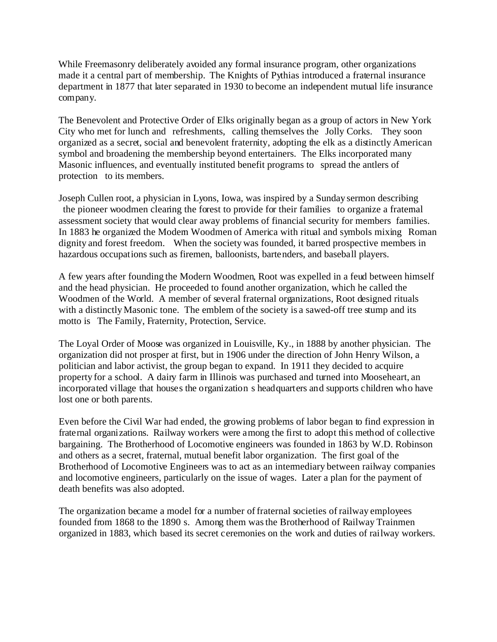While Freemasonry deliberately avoided any formal insurance program, other organizations made it a central part of membership. The Knights of Pythias introduced a fraternal insurance department in 1877 that later separated in 1930 to become an independent mutual life insurance company.

The Benevolent and Protective Order of Elks originally began as a group of actors in New York City who met for lunch and refreshments, calling themselves the Jolly Corks. They soon organized as a secret, social and benevolent fraternity, adopting the elk as a distinctly American symbol and broadening the membership beyond entertainers. The Elks incorporated many Masonic influences, and eventually instituted benefit programs to spread the antlers of protection to its members.

Joseph Cullen root, a physician in Lyons, Iowa, was inspired by a Sunday sermon describing the pioneer woodmen clearing the forest to provide for their families to organize a fraternal assessment society that would clear away problems of financial security for members families. In 1883 he organized the Modem Woodmen of America with ritual and symbols mixing Roman dignity and forest freedom. When the society was founded, it barred prospective members in hazardous occupations such as firemen, balloonists, bartenders, and baseball players.

A few years after founding the Modern Woodmen, Root was expelled in a feud between himself and the head physician. He proceeded to found another organization, which he called the Woodmen of the World. A member of several fraternal organizations, Root designed rituals with a distinctly Masonic tone. The emblem of the society is a sawed-off tree stump and its motto is The Family, Fraternity, Protection, Service.

The Loyal Order of Moose was organized in Louisville, Ky., in 1888 by another physician. The organization did not prosper at first, but in 1906 under the direction of John Henry Wilson, a politician and labor activist, the group began to expand. In 1911 they decided to acquire property for a school. A dairy farm in Illinois was purchased and turned into Mooseheart, an incorporated village that houses the organization s headquarters and supports children who have lost one or both parents.

Even before the Civil War had ended, the growing problems of labor began to find expression in fraternal organizations. Railway workers were among the first to adopt this method of collective bargaining. The Brotherhood of Locomotive engineers was founded in 1863 by W.D. Robinson and others as a secret, fraternal, mutual benefit labor organization. The first goal of the Brotherhood of Locomotive Engineers was to act as an intermediary between railway companies and locomotive engineers, particularly on the issue of wages. Later a plan for the payment of death benefits was also adopted.

The organization became a model for a number of fraternal societies of railway employees founded from 1868 to the 1890 s. Among them was the Brotherhood of Railway Trainmen organized in 1883, which based its secret ceremonies on the work and duties of railway workers.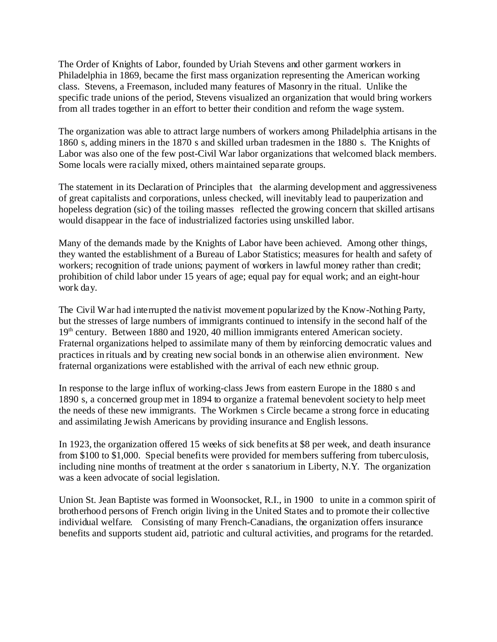The Order of Knights of Labor, founded by Uriah Stevens and other garment workers in Philadelphia in 1869, became the first mass organization representing the American working class. Stevens, a Freemason, included many features of Masonry in the ritual. Unlike the specific trade unions of the period, Stevens visualized an organization that would bring workers from all trades together in an effort to better their condition and reform the wage system.

The organization was able to attract large numbers of workers among Philadelphia artisans in the 1860 s, adding miners in the 1870 s and skilled urban tradesmen in the 1880 s. The Knights of Labor was also one of the few post-Civil War labor organizations that welcomed black members. Some locals were racially mixed, others maintained separate groups.

The statement in its Declaration of Principles that the alarming development and aggressiveness of great capitalists and corporations, unless checked, will inevitably lead to pauperization and hopeless degration (sic) of the toiling masses reflected the growing concern that skilled artisans would disappear in the face of industrialized factories using unskilled labor.

Many of the demands made by the Knights of Labor have been achieved. Among other things, they wanted the establishment of a Bureau of Labor Statistics; measures for health and safety of workers; recognition of trade unions; payment of workers in lawful money rather than credit; prohibition of child labor under 15 years of age; equal pay for equal work; and an eight-hour work day.

The Civil War had interrupted the nativist movement popularized by the Know-Nothing Party, but the stresses of large numbers of immigrants continued to intensify in the second half of the 19<sup>th</sup> century. Between 1880 and 1920, 40 million immigrants entered American society. Fraternal organizations helped to assimilate many of them by reinforcing democratic values and practices in rituals and by creating new social bonds in an otherwise alien environment. New fraternal organizations were established with the arrival of each new ethnic group.

In response to the large influx of working-class Jews from eastern Europe in the 1880 s and 1890 s, a concerned group met in 1894 to organize a fraternal benevolent society to help meet the needs of these new immigrants. The Workmen s Circle became a strong force in educating and assimilating Jewish Americans by providing insurance and English lessons.

In 1923, the organization offered 15 weeks of sick benefits at \$8 per week, and death insurance from \$100 to \$1,000. Special benefits were provided for members suffering from tuberculosis, including nine months of treatment at the order s sanatorium in Liberty, N.Y. The organization was a keen advocate of social legislation.

Union St. Jean Baptiste was formed in Woonsocket, R.I., in 1900 to unite in a common spirit of brotherhood persons of French origin living in the United States and to promote their collective individual welfare. Consisting of many French-Canadians, the organization offers insurance benefits and supports student aid, patriotic and cultural activities, and programs for the retarded.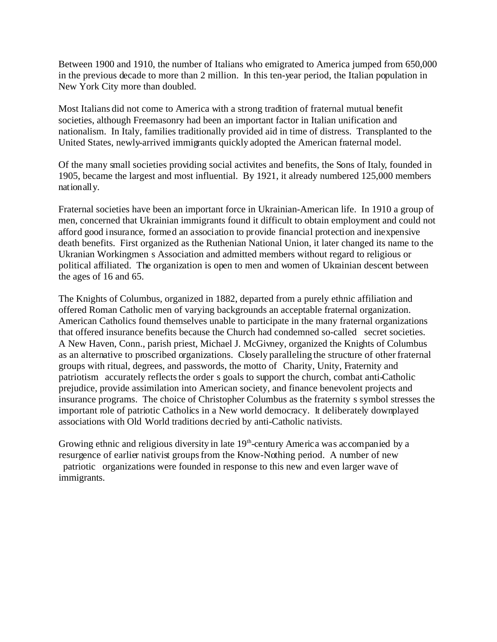Between 1900 and 1910, the number of Italians who emigrated to America jumped from 650,000 in the previous decade to more than 2 million. In this ten-year period, the Italian population in New York City more than doubled.

Most Italians did not come to America with a strong tradition of fraternal mutual benefit societies, although Freemasonry had been an important factor in Italian unification and nationalism. In Italy, families traditionally provided aid in time of distress. Transplanted to the United States, newly-arrived immigrants quickly adopted the American fraternal model.

Of the many small societies providing social activites and benefits, the Sons of Italy, founded in 1905, became the largest and most influential. By 1921, it already numbered 125,000 members nationally.

Fraternal societies have been an important force in Ukrainian-American life. In 1910 a group of men, concerned that Ukrainian immigrants found it difficult to obtain employment and could not afford good insurance, formed an association to provide financial protection and inexpensive death benefits. First organized as the Ruthenian National Union, it later changed its name to the Ukranian Workingmen s Association and admitted members without regard to religious or political affiliated. The organization is open to men and women of Ukrainian descent between the ages of 16 and 65.

The Knights of Columbus, organized in 1882, departed from a purely ethnic affiliation and offered Roman Catholic men of varying backgrounds an acceptable fraternal organization. American Catholics found themselves unable to participate in the many fraternal organizations that offered insurance benefits because the Church had condemned so-called secret societies. A New Haven, Conn., parish priest, Michael J. McGivney, organized the Knights of Columbus as an alternative to proscribed organizations. Closely paralleling the structure of other fraternal groups with ritual, degrees, and passwords, the motto of Charity, Unity, Fraternity and patriotism accurately reflects the order s goals to support the church, combat anti-Catholic prejudice, provide assimilation into American society, and finance benevolent projects and insurance programs. The choice of Christopher Columbus as the fraternity s symbol stresses the important role of patriotic Catholics in a New world democracy. It deliberately downplayed associations with Old World traditions decried by anti-Catholic nativists.

Growing ethnic and religious diversity in late  $19<sup>th</sup>$ -century America was accompanied by a resurgence of earlier nativist groups from the Know-Nothing period. A number of new patriotic organizations were founded in response to this new and even larger wave of immigrants.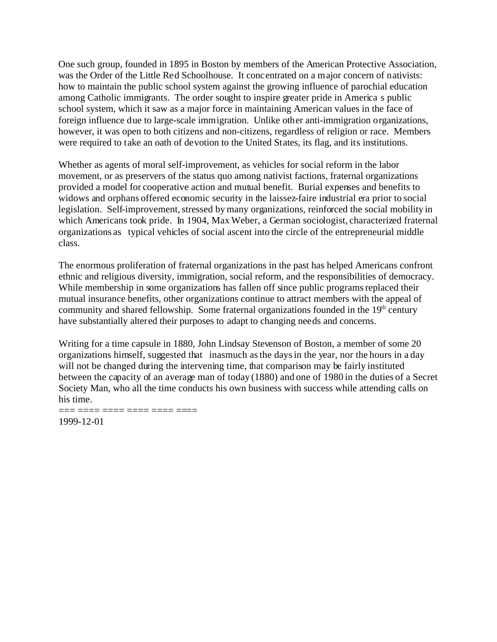One such group, founded in 1895 in Boston by members of the American Protective Association, was the Order of the Little Red Schoolhouse. It concentrated on a major concern of nativists: how to maintain the public school system against the growing influence of parochial education among Catholic immigrants. The order sought to inspire greater pride in America s public school system, which it saw as a major force in maintaining American values in the face of foreign influence due to large-scale immigration. Unlike other anti-immigration organizations, however, it was open to both citizens and non-citizens, regardless of religion or race. Members were required to take an oath of devotion to the United States, its flag, and its institutions.

Whether as agents of moral self-improvement, as vehicles for social reform in the labor movement, or as preservers of the status quo among nativist factions, fraternal organizations provided a model for cooperative action and mutual benefit. Burial expenses and benefits to widows and orphans offered economic security in the laissez-faire industrial era prior to social legislation. Self-improvement, stressed by many organizations, reinforced the social mobility in which Americans took pride. In 1904, Max Weber, a German sociologist, characterized fraternal organizations as typical vehicles of social ascent into the circle of the entrepreneurial middle class.

The enormous proliferation of fraternal organizations in the past has helped Americans confront ethnic and religious diversity, immigration, social reform, and the responsibilities of democracy. While membership in some organizations has fallen off since public programs replaced their mutual insurance benefits, other organizations continue to attract members with the appeal of community and shared fellowship. Some fraternal organizations founded in the  $19<sup>th</sup>$  century have substantially altered their purposes to adapt to changing needs and concerns.

Writing for a time capsule in 1880, John Lindsay Stevenson of Boston, a member of some 20 organizations himself, suggested that inasmuch as the days in the year, nor the hours in a day will not be changed during the intervening time, that comparison may be fairly instituted between the capacity of an average man of today (1880) and one of 1980 in the duties of a Secret Society Man, who all the time conducts his own business with success while attending calls on his time.

1999-12-01

<sup>=== ==== ==== ==== ==== ====</sup>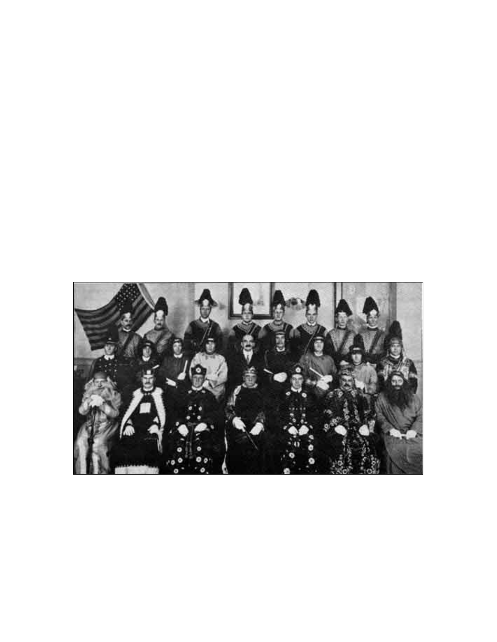